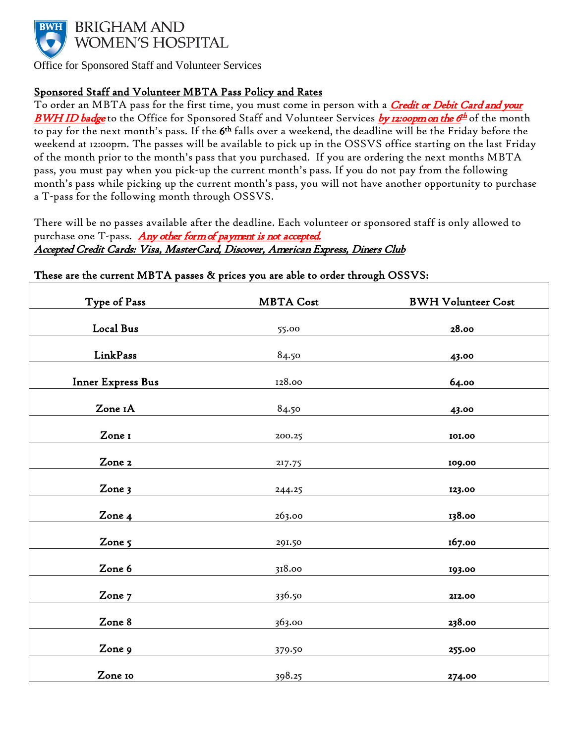

Office for Sponsored Staff and Volunteer Services

## Sponsored Staff and Volunteer MBTA Pass Policy and Rates

To order an MBTA pass for the first time, you must come in person with a <mark>Credit or Debit Card and your</mark> BWH ID badge to the Office for Sponsored Staff and Volunteer Services by 12:00pm on the 6<sup>th</sup> of the month to pay for the next month's pass. If the 6<sup>th</sup> falls over a weekend, the deadline will be the Friday before the weekend at 12:00pm. The passes will be available to pick up in the OSSVS office starting on the last Friday of the month prior to the month's pass that you purchased. If you are ordering the next months MBTA pass, you must pay when you pick-up the current month's pass. If you do not pay from the following month's pass while picking up the current month's pass, you will not have another opportunity to purchase a T-pass for the following month through OSSVS.

There will be no passes available after the deadline. Each volunteer or sponsored staff is only allowed to purchase one T-pass. Any other form of payment is not accepted. Accepted Credit Cards: Visa, MasterCard, Discover, American Express, Diners Club

| Type of Pass             | <b>MBTA Cost</b> | <b>BWH Volunteer Cost</b> |
|--------------------------|------------------|---------------------------|
| Local Bus                | 55.00            | 28.00                     |
|                          |                  |                           |
| LinkPass                 | 84.50            | 43.00                     |
| <b>Inner Express Bus</b> | 128.00           | 64.00                     |
| Zone 1A                  | 84.50            | 43.00                     |
| Zone I                   | 200.25           | 101.00                    |
| Zone 2                   | 217.75           | 109.00                    |
| Zone 3                   | 244.25           | 123.00                    |
|                          |                  |                           |
| Zone 4                   | 263.00           | 138.00                    |
| Zone 5                   | 291.50           | 167.00                    |
| Zone 6                   | 318.00           | 193.00                    |
| Zone 7                   | 336.50           | 212.00                    |
|                          |                  |                           |
| Zone 8                   | 363.00           | 238.00                    |
| Zone 9                   | 379.50           | 255.00                    |
| Zone 10                  | 398.25           | 274.00                    |

## These are the current MBTA passes & prices you are able to order through OSSVS: